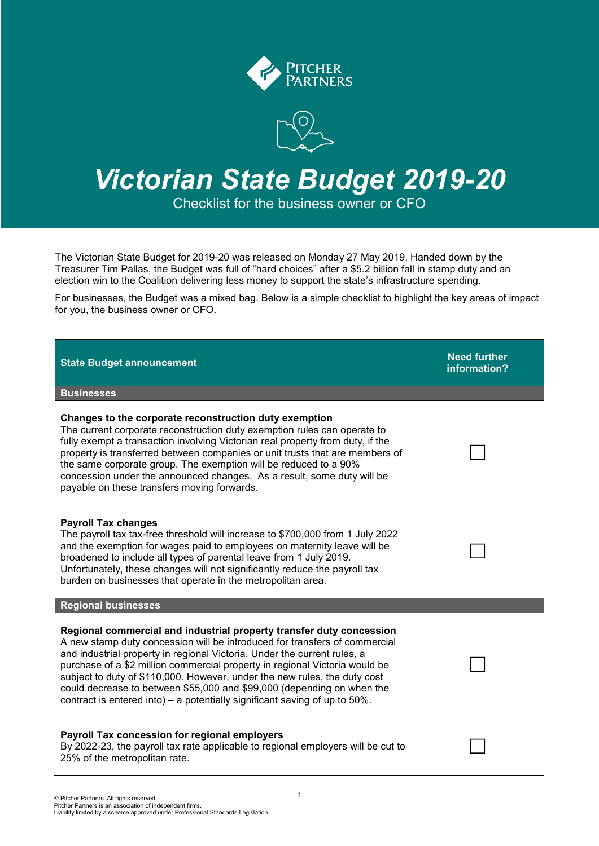

# *Victorian State Budget 2019-20*

Checklist for the business owner or CFO

The Victorian State Budget for 2019-20 was released on Monday 27 May 2019. Handed down by the Treasurer Tim Pallas, the Budget was full of "hard choices" after a \$5.2 billion fall in stamp duty and an election win to the Coalition delivering less money to support the state's infrastructure spending.

For businesses, the Budget was a mixed bag. Below is a simple checklist to highlight the key areas of impact for you, the business owner or CFO.

| <b>State Budget announcement</b>                                                                                                                                                                                                                                                                                                                                                                                                                                                                                                                       | <b>Need further</b><br>information? |
|--------------------------------------------------------------------------------------------------------------------------------------------------------------------------------------------------------------------------------------------------------------------------------------------------------------------------------------------------------------------------------------------------------------------------------------------------------------------------------------------------------------------------------------------------------|-------------------------------------|
| <b>Businesses</b>                                                                                                                                                                                                                                                                                                                                                                                                                                                                                                                                      |                                     |
| Changes to the corporate reconstruction duty exemption<br>The current corporate reconstruction duty exemption rules can operate to<br>fully exempt a transaction involving Victorian real property from duty, if the<br>property is transferred between companies or unit trusts that are members of<br>the same corporate group. The exemption will be reduced to a 90%<br>concession under the announced changes. As a result, some duty will be<br>payable on these transfers moving forwards.                                                      |                                     |
| <b>Payroll Tax changes</b><br>The payroll tax tax-free threshold will increase to \$700,000 from 1 July 2022<br>and the exemption for wages paid to employees on maternity leave will be<br>broadened to include all types of parental leave from 1 July 2019.<br>Unfortunately, these changes will not significantly reduce the payroll tax<br>burden on businesses that operate in the metropolitan area.                                                                                                                                            |                                     |
| <b>Regional businesses</b>                                                                                                                                                                                                                                                                                                                                                                                                                                                                                                                             |                                     |
| Regional commercial and industrial property transfer duty concession<br>A new stamp duty concession will be introduced for transfers of commercial<br>and industrial property in regional Victoria. Under the current rules, a<br>purchase of a \$2 million commercial property in regional Victoria would be<br>subject to duty of \$110,000. However, under the new rules, the duty cost<br>could decrease to between \$55,000 and \$99,000 (depending on when the<br>contract is entered into) – a potentially significant saving of up to $50\%$ . |                                     |
| Payroll Tax concession for regional employers<br>By 2022-23, the payroll tax rate applicable to regional employers will be cut to<br>25% of the metropolitan rate.                                                                                                                                                                                                                                                                                                                                                                                     |                                     |
|                                                                                                                                                                                                                                                                                                                                                                                                                                                                                                                                                        |                                     |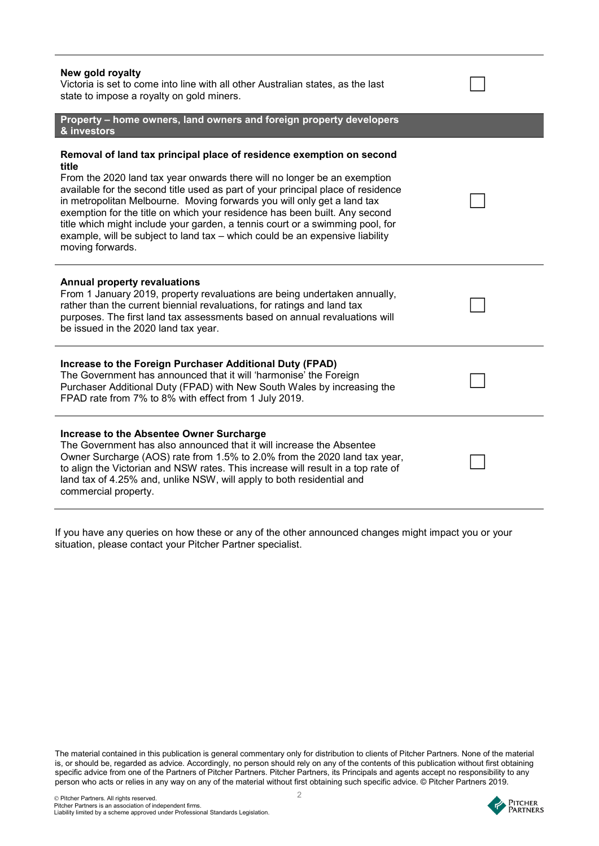| New gold royalty<br>Victoria is set to come into line with all other Australian states, as the last<br>state to impose a royalty on gold miners.                                                                                                                                                                                                                                                                                                                                                                                                                                            |  |
|---------------------------------------------------------------------------------------------------------------------------------------------------------------------------------------------------------------------------------------------------------------------------------------------------------------------------------------------------------------------------------------------------------------------------------------------------------------------------------------------------------------------------------------------------------------------------------------------|--|
| Property - home owners, land owners and foreign property developers<br>& investors                                                                                                                                                                                                                                                                                                                                                                                                                                                                                                          |  |
| Removal of land tax principal place of residence exemption on second<br>title<br>From the 2020 land tax year onwards there will no longer be an exemption<br>available for the second title used as part of your principal place of residence<br>in metropolitan Melbourne. Moving forwards you will only get a land tax<br>exemption for the title on which your residence has been built. Any second<br>title which might include your garden, a tennis court or a swimming pool, for<br>example, will be subject to land tax - which could be an expensive liability<br>moving forwards. |  |
| <b>Annual property revaluations</b><br>From 1 January 2019, property revaluations are being undertaken annually,<br>rather than the current biennial revaluations, for ratings and land tax<br>purposes. The first land tax assessments based on annual revaluations will<br>be issued in the 2020 land tax year.                                                                                                                                                                                                                                                                           |  |
| Increase to the Foreign Purchaser Additional Duty (FPAD)<br>The Government has announced that it will 'harmonise' the Foreign<br>Purchaser Additional Duty (FPAD) with New South Wales by increasing the<br>FPAD rate from 7% to 8% with effect from 1 July 2019.                                                                                                                                                                                                                                                                                                                           |  |
| Increase to the Absentee Owner Surcharge<br>The Government has also announced that it will increase the Absentee<br>Owner Surcharge (AOS) rate from 1.5% to 2.0% from the 2020 land tax year,<br>to align the Victorian and NSW rates. This increase will result in a top rate of<br>land tax of 4.25% and, unlike NSW, will apply to both residential and<br>commercial property.                                                                                                                                                                                                          |  |

If you have any queries on how these or any of the other announced changes might impact you or your situation, please contact your Pitcher Partner specialist.

The material contained in this publication is general commentary only for distribution to clients of Pitcher Partners. None of the material is, or should be, regarded as advice. Accordingly, no person should rely on any of the contents of this publication without first obtaining specific advice from one of the Partners of Pitcher Partners. Pitcher Partners, its Principals and agents accept no responsibility to any person who acts or relies in any way on any of the material without first obtaining such specific advice. © Pitcher Partners 2019.